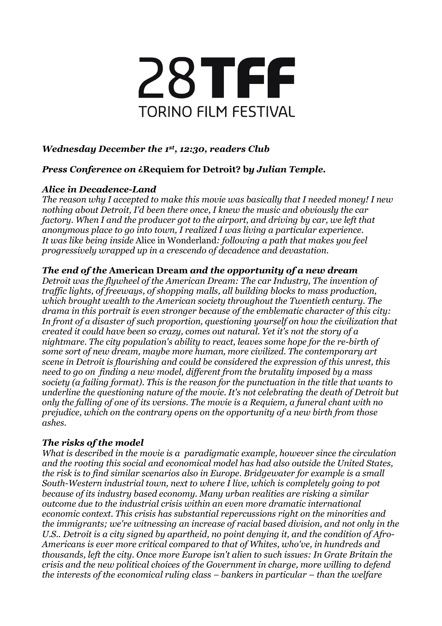

# *Wednesday December the 1st, 12:30, readers Club*

## *Press Conference on* **¿Requiem for Detroit? b***y Julian Temple.*

## *Alice in Decadence-Land*

*The reason why I accepted to make this movie was basically that I needed money! I new nothing about Detroit, I'd been there once, I knew the music and obviously the car factory. When I and the producer got to the airport, and driving by car, we left that anonymous place to go into town, I realized I was living a particular experience. It was like being inside* Alice in Wonderland*: following a path that makes you feel progressively wrapped up in a crescendo of decadence and devastation.*

## *The end of the* **American Dream** *and the opportunity of a new dream*

*Detroit was the flywheel of the American Dream: The car Industry, The invention of traffic lights, of freeways, of shopping malls, all building blocks to mass production, which brought wealth to the American society throughout the Twentieth century. The drama in this portrait is even stronger because of the emblematic character of this city: In front of a disaster of such proportion, questioning yourself on how the civilization that created it could have been so crazy, comes out natural. Yet it's not the story of a nightmare. The city population's ability to react, leaves some hope for the re-birth of some sort of new dream, maybe more human, more civilized. The contemporary art scene in Detroit is flourishing and could be considered the expression of this unrest, this need to go on finding a new model, different from the brutality imposed by a mass society (a failing format). This is the reason for the punctuation in the title that wants to underline the questioning nature of the movie. It's not celebrating the death of Detroit but only the falling of one of its versions. The movie is a Requiem, a funeral chant with no prejudice, which on the contrary opens on the opportunity of a new birth from those ashes.*

## *The risks of the model*

*What is described in the movie is a paradigmatic example, however since the circulation and the rooting this social and economical model has had also outside the United States, the risk is to find similar scenarios also in Europe. Bridgewater for example is a small South-Western industrial town, next to where I live, which is completely going to pot because of its industry based economy. Many urban realities are risking a similar outcome due to the industrial crisis within an even more dramatic international economic context. This crisis has substantial repercussions right on the minorities and the immigrants; we're witnessing an increase of racial based division, and not only in the U.S.. Detroit is a city signed by apartheid, no point denying it, and the condition of Afro-Americans is ever more critical compared to that of Whites, who've, in hundreds and thousands, left the city. Once more Europe isn't alien to such issues: In Grate Britain the crisis and the new political choices of the Government in charge, more willing to defend the interests of the economical ruling class – bankers in particular – than the welfare*